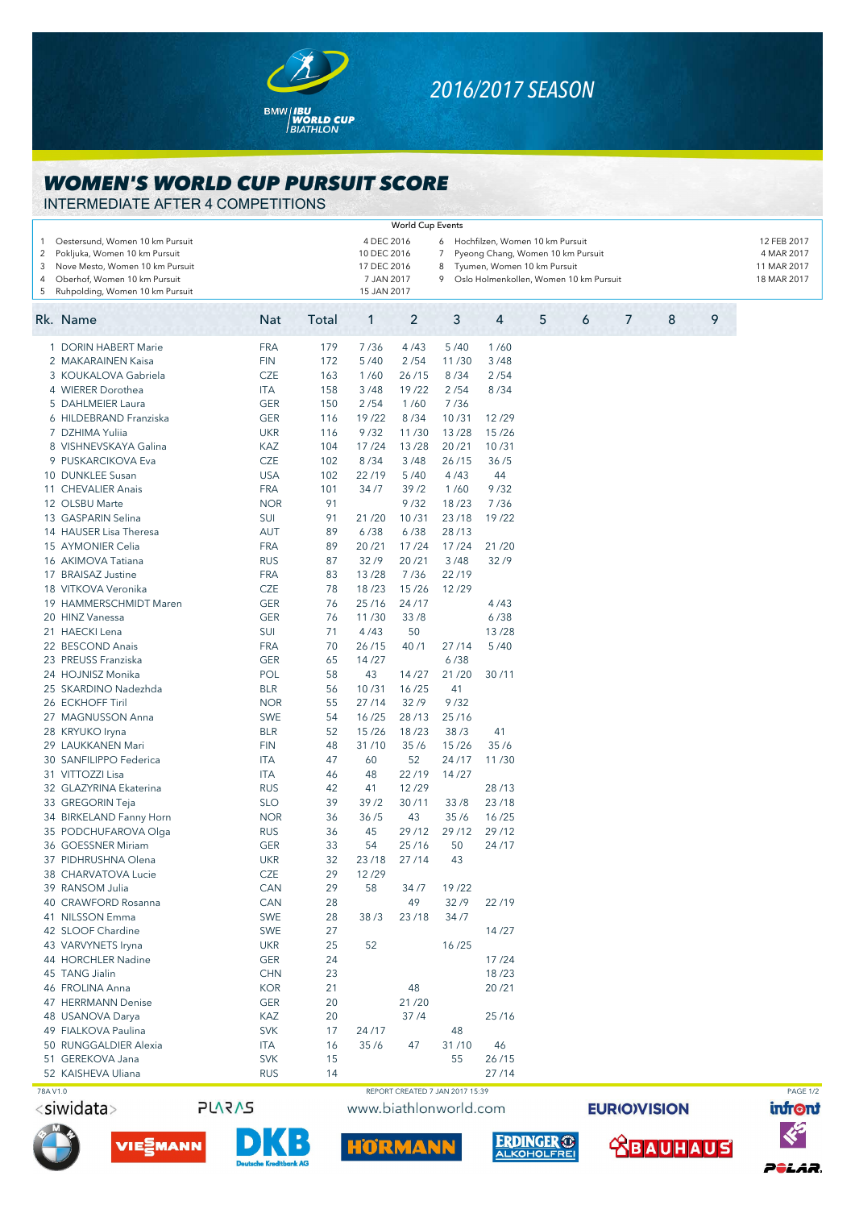

## *2016/2017 SEASON*

## *WOMEN'S WORLD CUP PURSUIT SCORE*

INTERMEDIATE AFTER 4 COMPETITIONS

|                               |                                                                                                                                     |                   |          |                                                                                                                                                                                             | <b>World Cup Events</b>         |               |            |   |  |   |  |                                                         |  |   |  |   |          |
|-------------------------------|-------------------------------------------------------------------------------------------------------------------------------------|-------------------|----------|---------------------------------------------------------------------------------------------------------------------------------------------------------------------------------------------|---------------------------------|---------------|------------|---|--|---|--|---------------------------------------------------------|--|---|--|---|----------|
| 1<br>$\overline{2}$<br>3<br>4 | Oestersund, Women 10 km Pursuit<br>Pokljuka, Women 10 km Pursuit<br>Nove Mesto, Women 10 km Pursuit<br>Oberhof, Women 10 km Pursuit |                   |          | 4 DEC 2016<br>6 Hochfilzen, Women 10 km Pursuit<br>10 DEC 2016<br>$\overline{7}$<br>Pyeong Chang, Women 10 km Pursuit<br>17 DEC 2016<br>8<br>Tyumen, Women 10 km Pursuit<br>9<br>7 JAN 2017 |                                 |               |            |   |  |   |  | 12 FEB 2017<br>4 MAR 2017<br>11 MAR 2017<br>18 MAR 2017 |  |   |  |   |          |
| 5                             | Ruhpolding, Women 10 km Pursuit                                                                                                     | 15 JAN 2017       |          | Oslo Holmenkollen, Women 10 km Pursuit                                                                                                                                                      |                                 |               |            |   |  |   |  |                                                         |  |   |  |   |          |
|                               | Rk. Name                                                                                                                            | <b>Nat</b>        | Total    | 1                                                                                                                                                                                           | $\overline{c}$                  | 3             | 4          | 5 |  | 6 |  | 7                                                       |  | 8 |  | 9 |          |
|                               | 1 DORIN HABERT Marie                                                                                                                | <b>FRA</b>        | 179      | 7/36                                                                                                                                                                                        | 4/43                            | 5/40          | 1/60       |   |  |   |  |                                                         |  |   |  |   |          |
|                               | 2 MAKARAINEN Kaisa                                                                                                                  | <b>FIN</b>        | 172      | 5/40                                                                                                                                                                                        | 2/54                            | 11/30         | 3/48       |   |  |   |  |                                                         |  |   |  |   |          |
|                               | 3 KOUKALOVA Gabriela                                                                                                                | <b>CZE</b>        | 163      | 1/60                                                                                                                                                                                        | 26/15                           | 8/34          | 2/54       |   |  |   |  |                                                         |  |   |  |   |          |
|                               | 4 WIERER Dorothea                                                                                                                   | ITA               | 158      | 3/48                                                                                                                                                                                        | 19/22                           | 2/54          | 8/34       |   |  |   |  |                                                         |  |   |  |   |          |
|                               | 5 DAHLMEIER Laura                                                                                                                   | <b>GER</b>        | 150      | 2/54                                                                                                                                                                                        | 1/60                            | 7/36          |            |   |  |   |  |                                                         |  |   |  |   |          |
|                               | 6 HILDEBRAND Franziska                                                                                                              | <b>GER</b>        | 116      | 19/22                                                                                                                                                                                       | 8/34                            | 10/31         | 12/29      |   |  |   |  |                                                         |  |   |  |   |          |
|                               | 7 DZHIMA Yuliia                                                                                                                     | <b>UKR</b>        | 116      | 9/32                                                                                                                                                                                        | 11/30                           | 13/28         | 15/26      |   |  |   |  |                                                         |  |   |  |   |          |
|                               | 8 VISHNEVSKAYA Galina                                                                                                               | KAZ               | 104      | 17/24                                                                                                                                                                                       | 13/28                           | 20/21         | 10/31      |   |  |   |  |                                                         |  |   |  |   |          |
|                               | 9 PUSKARCIKOVA Eva                                                                                                                  | <b>CZE</b>        | 102      | 8/34                                                                                                                                                                                        | 3/48                            | 26/15         | 36/5       |   |  |   |  |                                                         |  |   |  |   |          |
|                               | 10 DUNKLEE Susan                                                                                                                    | <b>USA</b>        | 102      | 22/19                                                                                                                                                                                       | 5/40                            | 4/43          | 44         |   |  |   |  |                                                         |  |   |  |   |          |
|                               | 11 CHEVALIER Anais                                                                                                                  | <b>FRA</b>        | 101      | 34/7                                                                                                                                                                                        | 39/2                            | 1/60          | 9/32       |   |  |   |  |                                                         |  |   |  |   |          |
|                               | 12 OLSBU Marte                                                                                                                      | <b>NOR</b>        | 91       |                                                                                                                                                                                             | 9/32                            | 18/23         | 7/36       |   |  |   |  |                                                         |  |   |  |   |          |
|                               | 13 GASPARIN Selina                                                                                                                  | SUI               | 91       | 21/20                                                                                                                                                                                       | 10/31                           | 23/18         | 19/22      |   |  |   |  |                                                         |  |   |  |   |          |
|                               | 14 HAUSER Lisa Theresa                                                                                                              | <b>AUT</b>        | 89       | 6/38                                                                                                                                                                                        | 6/38                            | 28/13         |            |   |  |   |  |                                                         |  |   |  |   |          |
|                               | 15 AYMONIER Celia                                                                                                                   | <b>FRA</b>        | 89       | 20/21                                                                                                                                                                                       | 17/24                           | 17/24         | 21/20      |   |  |   |  |                                                         |  |   |  |   |          |
|                               | 16 AKIMOVA Tatiana                                                                                                                  | <b>RUS</b>        | 87       | 32/9                                                                                                                                                                                        | 20/21                           | 3/48          | 32/9       |   |  |   |  |                                                         |  |   |  |   |          |
|                               | 17 BRAISAZ Justine                                                                                                                  | <b>FRA</b>        | 83       | 13/28                                                                                                                                                                                       | 7/36                            | 22/19         |            |   |  |   |  |                                                         |  |   |  |   |          |
|                               | 18 VITKOVA Veronika                                                                                                                 | <b>CZE</b>        | 78       | 18/23                                                                                                                                                                                       | 15/26                           | 12/29         |            |   |  |   |  |                                                         |  |   |  |   |          |
|                               | 19 HAMMERSCHMIDT Maren                                                                                                              | <b>GER</b>        | 76       | 25/16                                                                                                                                                                                       | 24/17                           |               | 4/43       |   |  |   |  |                                                         |  |   |  |   |          |
|                               | 20 HINZ Vanessa                                                                                                                     | <b>GER</b>        | 76       | 11/30                                                                                                                                                                                       | 33/8                            |               | 6/38       |   |  |   |  |                                                         |  |   |  |   |          |
|                               | 21 HAECKI Lena                                                                                                                      | SUI               | 71       | 4/43                                                                                                                                                                                        | 50                              |               | 13/28      |   |  |   |  |                                                         |  |   |  |   |          |
|                               | 22 BESCOND Anais                                                                                                                    | <b>FRA</b>        | 70       | 26/15                                                                                                                                                                                       | 40/1                            | 27/14         | 5/40       |   |  |   |  |                                                         |  |   |  |   |          |
|                               | 23 PREUSS Franziska                                                                                                                 | <b>GER</b>        | 65       | 14/27                                                                                                                                                                                       |                                 | 6/38          |            |   |  |   |  |                                                         |  |   |  |   |          |
|                               | 24 HOJNISZ Monika                                                                                                                   | POL               | 58       | 43                                                                                                                                                                                          | 14/27                           | 21/20         | 30/11      |   |  |   |  |                                                         |  |   |  |   |          |
|                               | 25 SKARDINO Nadezhda                                                                                                                | <b>BLR</b>        | 56       | 10/31                                                                                                                                                                                       | 16/25                           | 41            |            |   |  |   |  |                                                         |  |   |  |   |          |
|                               | 26 ECKHOFF Tiril                                                                                                                    | <b>NOR</b>        | 55       | 27/14                                                                                                                                                                                       | 32/9                            | 9/32          |            |   |  |   |  |                                                         |  |   |  |   |          |
|                               | 27 MAGNUSSON Anna                                                                                                                   | <b>SWE</b>        | 54       | 16/25                                                                                                                                                                                       | 28/13                           | 25/16         |            |   |  |   |  |                                                         |  |   |  |   |          |
|                               | 28 KRYUKO Iryna<br>29 LAUKKANEN Mari                                                                                                | BLR<br><b>FIN</b> | 52<br>48 | 15/26<br>31/10                                                                                                                                                                              | 18/23<br>35/6                   | 38/3<br>15/26 | 41<br>35/6 |   |  |   |  |                                                         |  |   |  |   |          |
|                               | 30 SANFILIPPO Federica                                                                                                              |                   | 47       | 60                                                                                                                                                                                          | 52                              | 24/17         | 11/30      |   |  |   |  |                                                         |  |   |  |   |          |
|                               | 31 VITTOZZI Lisa                                                                                                                    | ITA<br><b>ITA</b> | 46       | 48                                                                                                                                                                                          | 22/19                           | 14/27         |            |   |  |   |  |                                                         |  |   |  |   |          |
|                               | 32 GLAZYRINA Ekaterina                                                                                                              | <b>RUS</b>        | 42       | 41                                                                                                                                                                                          | 12/29                           |               | 28/13      |   |  |   |  |                                                         |  |   |  |   |          |
|                               | 33 GREGORIN Teja                                                                                                                    | <b>SLO</b>        | 39       | 39/2                                                                                                                                                                                        | 30/11                           | 33/8          | 23/18      |   |  |   |  |                                                         |  |   |  |   |          |
|                               | 34 BIRKELAND Fanny Horn                                                                                                             | <b>NOR</b>        | 36       | 36/5                                                                                                                                                                                        | 43                              | 35/6          | 16/25      |   |  |   |  |                                                         |  |   |  |   |          |
|                               | 35 PODCHUFAROVA Olga                                                                                                                | <b>RUS</b>        | 36       | 45                                                                                                                                                                                          | 29/12                           | 29/12         | 29/12      |   |  |   |  |                                                         |  |   |  |   |          |
|                               | 36 GOESSNER Miriam                                                                                                                  | <b>GER</b>        | 33       | 54                                                                                                                                                                                          | 25/16                           | 50            | 24/17      |   |  |   |  |                                                         |  |   |  |   |          |
|                               | 37 PIDHRUSHNA Olena                                                                                                                 | <b>UKR</b>        | 32       | 23/18                                                                                                                                                                                       | 27/14                           | 43            |            |   |  |   |  |                                                         |  |   |  |   |          |
|                               | 38 CHARVATOVA Lucie                                                                                                                 | CZE               | 29       | 12/29                                                                                                                                                                                       |                                 |               |            |   |  |   |  |                                                         |  |   |  |   |          |
|                               | 39 RANSOM Julia                                                                                                                     | CAN               | 29       | 58                                                                                                                                                                                          | 34/7                            | 19/22         |            |   |  |   |  |                                                         |  |   |  |   |          |
|                               | 40 CRAWFORD Rosanna                                                                                                                 | CAN               | 28       |                                                                                                                                                                                             | 49                              | 32/9          | 22/19      |   |  |   |  |                                                         |  |   |  |   |          |
|                               | 41 NILSSON Emma                                                                                                                     | <b>SWE</b>        | 28       | 38/3                                                                                                                                                                                        | 23/18                           | 34/7          |            |   |  |   |  |                                                         |  |   |  |   |          |
|                               | 42 SLOOF Chardine                                                                                                                   | <b>SWE</b>        | 27       |                                                                                                                                                                                             |                                 |               | 14/27      |   |  |   |  |                                                         |  |   |  |   |          |
|                               | 43 VARVYNETS Iryna                                                                                                                  | <b>UKR</b>        | 25       | 52                                                                                                                                                                                          |                                 | 16/25         |            |   |  |   |  |                                                         |  |   |  |   |          |
|                               | 44 HORCHLER Nadine                                                                                                                  | <b>GER</b>        | 24       |                                                                                                                                                                                             |                                 |               | 17/24      |   |  |   |  |                                                         |  |   |  |   |          |
|                               | 45 TANG Jialin                                                                                                                      | <b>CHN</b>        | 23       |                                                                                                                                                                                             |                                 |               | 18/23      |   |  |   |  |                                                         |  |   |  |   |          |
|                               | 46 FROLINA Anna                                                                                                                     | <b>KOR</b>        | 21       |                                                                                                                                                                                             | 48                              |               | 20/21      |   |  |   |  |                                                         |  |   |  |   |          |
|                               | 47 HERRMANN Denise                                                                                                                  | <b>GER</b>        | 20       |                                                                                                                                                                                             | 21/20                           |               |            |   |  |   |  |                                                         |  |   |  |   |          |
|                               | 48 USANOVA Darya                                                                                                                    | KAZ               | 20       |                                                                                                                                                                                             | 37/4                            |               | 25/16      |   |  |   |  |                                                         |  |   |  |   |          |
|                               | 49 FIALKOVA Paulina                                                                                                                 | <b>SVK</b>        | 17       | 24/17                                                                                                                                                                                       |                                 | 48            |            |   |  |   |  |                                                         |  |   |  |   |          |
|                               | 50 RUNGGALDIER Alexia                                                                                                               | <b>ITA</b>        | 16       | 35/6                                                                                                                                                                                        | 47                              | 31/10         | 46         |   |  |   |  |                                                         |  |   |  |   |          |
|                               | 51 GEREKOVA Jana                                                                                                                    | <b>SVK</b>        | 15       |                                                                                                                                                                                             |                                 | 55            | 26/15      |   |  |   |  |                                                         |  |   |  |   |          |
|                               | 52 KAISHEVA Uliana                                                                                                                  | RUS               | 14       |                                                                                                                                                                                             |                                 |               | 27/14      |   |  |   |  |                                                         |  |   |  |   |          |
| 78A V1.0                      |                                                                                                                                     |                   |          |                                                                                                                                                                                             | REPORT CREATED 7 JAN 2017 15:39 |               |            |   |  |   |  |                                                         |  |   |  |   | PAGE 1/2 |



**PLARAS** 





www.biathlonworld.com



**EURIOVISION**